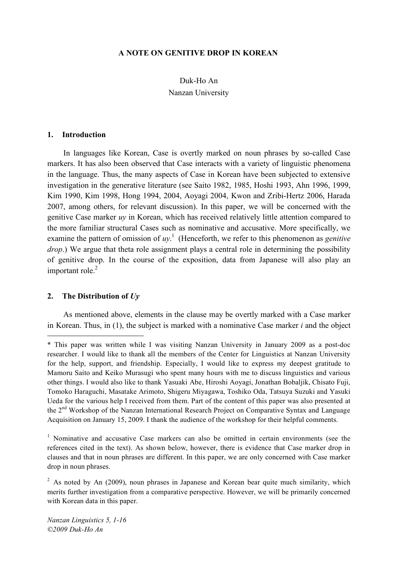### **A NOTE ON GENITIVE DROP IN KOREAN**

# Duk-Ho An Nanzan University

#### **1. Introduction**

In languages like Korean, Case is overtly marked on noun phrases by so-called Case markers. It has also been observed that Case interacts with a variety of linguistic phenomena in the language. Thus, the many aspects of Case in Korean have been subjected to extensive investigation in the generative literature (see Saito 1982, 1985, Hoshi 1993, Ahn 1996, 1999, Kim 1990, Kim 1998, Hong 1994, 2004, Aoyagi 2004, Kwon and Zribi-Hertz 2006, Harada 2007, among others, for relevant discussion). In this paper, we will be concerned with the genitive Case marker *uy* in Korean, which has received relatively little attention compared to the more familiar structural Cases such as nominative and accusative. More specifically, we examine the pattern of omission of *uy*. <sup>1</sup> (Henceforth, we refer to this phenomenon as *genitive drop*.) We argue that theta role assignment plays a central role in determining the possibility of genitive drop. In the course of the exposition, data from Japanese will also play an important role. 2

#### **2. The Distribution of** *Uy*

 $\overline{a}$ 

As mentioned above, elements in the clause may be overtly marked with a Case marker in Korean. Thus, in (1), the subject is marked with a nominative Case marker *i* and the object

<sup>\*</sup> This paper was written while I was visiting Nanzan University in January 2009 as a post-doc researcher. I would like to thank all the members of the Center for Linguistics at Nanzan University for the help, support, and friendship. Especially, I would like to express my deepest gratitude to Mamoru Saito and Keiko Murasugi who spent many hours with me to discuss linguistics and various other things. I would also like to thank Yasuaki Abe, Hiroshi Aoyagi, Jonathan Bobaljik, Chisato Fuji, Tomoko Haraguchi, Masatake Arimoto, Shigeru Miyagawa, Toshiko Oda, Tatsuya Suzuki and Yasuki Ueda for the various help I received from them. Part of the content of this paper was also presented at the 2nd Workshop of the Nanzan International Research Project on Comparative Syntax and Language Acquisition on January 15, 2009. I thank the audience of the workshop for their helpful comments.

<sup>&</sup>lt;sup>1</sup> Nominative and accusative Case markers can also be omitted in certain environments (see the references cited in the text). As shown below, however, there is evidence that Case marker drop in clauses and that in noun phrases are different. In this paper, we are only concerned with Case marker drop in noun phrases.

<sup>&</sup>lt;sup>2</sup> As noted by An (2009), noun phrases in Japanese and Korean bear quite much similarity, which merits further investigation from a comparative perspective. However, we will be primarily concerned with Korean data in this paper.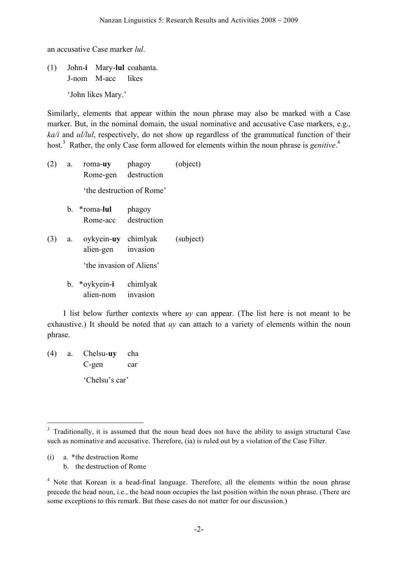an accusative Case marker *lul*.

(1) John-**i** Mary-**lul** coahanta. J-nom M-acc likes

'John likes Mary.'

Similarly, elements that appear within the noun phrase may also be marked with a Case marker. But, in the nominal domain, the usual nominative and accusative Case markers, e.g., *ka/i* and *ul/lul*, respectively, do not show up regardless of the grammatical function of their host.<sup>3</sup> Rather, the only Case form allowed for elements within the noun phrase is *genitive*.<sup>4</sup>

(2) a. roma-**uy** phagoy (object) Rome-gen destruction 'the destruction of Rome' b. \*roma-**lul** phagoy Rome-acc destruction (3) a. oykyein-**uy** chimlyak (subject) alien-gen invasion

'the invasion of Aliens'

b. \*oykyein-**i** chimlyak alien-nom invasion

I list below further contexts where *uy* can appear. (The list here is not meant to be exhaustive.) It should be noted that *uy* can attach to a variety of elements within the noun phrase.

(4) a. Chelsu-**uy** cha C-gen car 'Chelsu's car'

(i) a. \*the destruction Rome b. the destruction of Rome

<sup>&</sup>lt;sup>3</sup> Traditionally, it is assumed that the noun head does not have the ability to assign structural Case such as nominative and accusative. Therefore, (ia) is ruled out by a violation of the Case Filter.

<sup>&</sup>lt;sup>4</sup> Note that Korean is a head-final language. Therefore, all the elements within the noun phrase precede the head noun, i.e., the head noun occupies the last position within the noun phrase. (There are some exceptions to this remark. But these cases do not matter for our discussion.)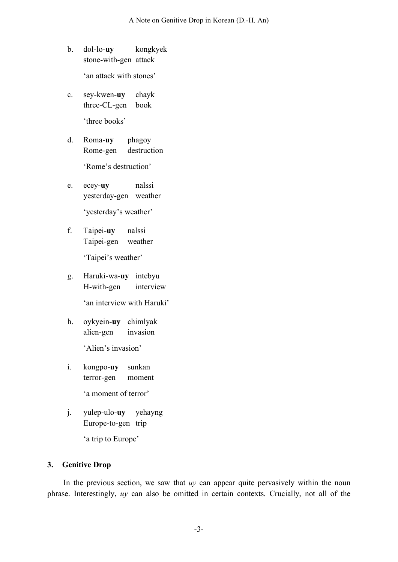b. dol-lo-**uy** kongkyek stone-with-gen attack

'an attack with stones'

- c. sey-kwen-**uy** chayk three-CL-gen book 'three books'
- d. Roma-**uy** phagoy Rome-gen destruction

'Rome's destruction'

- e. ecey-**uy** nalssi yesterday-gen weather 'yesterday's weather'
- f. Taipei-**uy** nalssi Taipei-gen weather

'Taipei's weather'

g. Haruki-wa-**uy** intebyu H-with-gen interview

'an interview with Haruki'

h. oykyein-**uy** chimlyak alien-gen invasion

'Alien's invasion'

i. kongpo-**uy** sunkan terror-gen moment

'a moment of terror'

j. yulep-ulo-**uy** yehayng Europe-to-gen trip

'a trip to Europe'

# **3. Genitive Drop**

In the previous section, we saw that *uy* can appear quite pervasively within the noun phrase. Interestingly, *uy* can also be omitted in certain contexts. Crucially, not all of the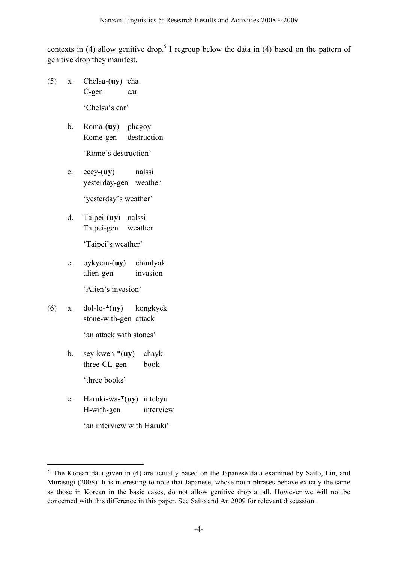contexts in (4) allow genitive drop.<sup>5</sup> I regroup below the data in (4) based on the pattern of genitive drop they manifest.

(5) a. Chelsu-(**uy**) cha C-gen car

'Chelsu's car'

b. Roma-(**uy**) phagoy Rome-gen destruction

'Rome's destruction'

- c. ecey-(**uy**) nalssi yesterday-gen weather 'yesterday's weather'
- d. Taipei-(**uy**) nalssi Taipei-gen weather

'Taipei's weather'

e. oykyein-(**uy**) chimlyak alien-gen invasion

'Alien's invasion'

(6) a. dol-lo-\*(**uy**) kongkyek stone-with-gen attack

'an attack with stones'

- b. sey-kwen-\*(**uy**) chayk three-CL-gen book 'three books'
- c. Haruki-wa-\*(**uy**) intebyu H-with-gen interview

'an interview with Haruki'

<sup>&</sup>lt;sup>5</sup> The Korean data given in (4) are actually based on the Japanese data examined by Saito, Lin, and Murasugi (2008). It is interesting to note that Japanese, whose noun phrases behave exactly the same as those in Korean in the basic cases, do not allow genitive drop at all. However we will not be concerned with this difference in this paper. See Saito and An 2009 for relevant discussion.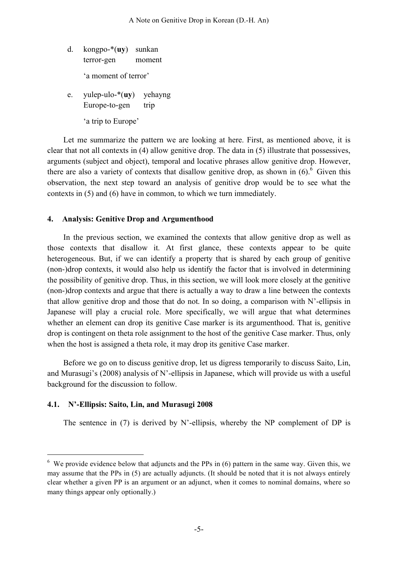- d. kongpo-\*(**uy**) sunkan terror-gen moment 'a moment of terror'
- e. yulep-ulo-\*(**uy**) yehayng Europe-to-gen trip 'a trip to Europe'

Let me summarize the pattern we are looking at here. First, as mentioned above, it is clear that not all contexts in (4) allow genitive drop. The data in (5) illustrate that possessives, arguments (subject and object), temporal and locative phrases allow genitive drop. However, there are also a variety of contexts that disallow genitive drop, as shown in  $(6)$ . Given this observation, the next step toward an analysis of genitive drop would be to see what the contexts in (5) and (6) have in common, to which we turn immediately.

# **4. Analysis: Genitive Drop and Argumenthood**

In the previous section, we examined the contexts that allow genitive drop as well as those contexts that disallow it. At first glance, these contexts appear to be quite heterogeneous. But, if we can identify a property that is shared by each group of genitive (non-)drop contexts, it would also help us identify the factor that is involved in determining the possibility of genitive drop. Thus, in this section, we will look more closely at the genitive (non-)drop contexts and argue that there is actually a way to draw a line between the contexts that allow genitive drop and those that do not. In so doing, a comparison with N'-ellipsis in Japanese will play a crucial role. More specifically, we will argue that what determines whether an element can drop its genitive Case marker is its argumenthood. That is, genitive drop is contingent on theta role assignment to the host of the genitive Case marker. Thus, only when the host is assigned a theta role, it may drop its genitive Case marker.

Before we go on to discuss genitive drop, let us digress temporarily to discuss Saito, Lin, and Murasugi's (2008) analysis of N'-ellipsis in Japanese, which will provide us with a useful background for the discussion to follow.

# **4.1. N'-Ellipsis: Saito, Lin, and Murasugi 2008**

The sentence in  $(7)$  is derived by N'-ellipsis, whereby the NP complement of DP is

 $6\,$  We provide evidence below that adjuncts and the PPs in (6) pattern in the same way. Given this, we may assume that the PPs in (5) are actually adjuncts. (It should be noted that it is not always entirely clear whether a given PP is an argument or an adjunct, when it comes to nominal domains, where so many things appear only optionally.)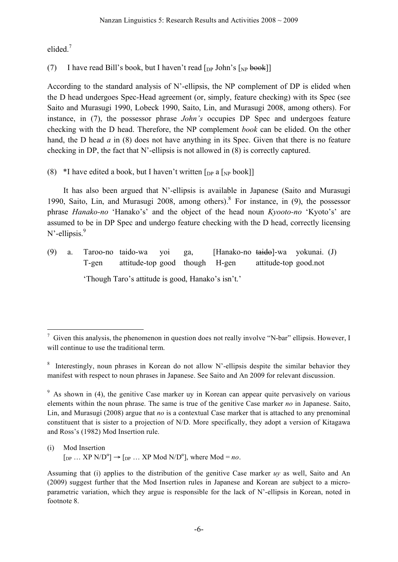elided<sup>7</sup>

(7) I have read Bill's book, but I haven't read  $\lceil_{\text{DP}}$  John's  $\lceil_{\text{NP}}$  book]]

According to the standard analysis of N'-ellipsis, the NP complement of DP is elided when the D head undergoes Spec-Head agreement (or, simply, feature checking) with its Spec (see Saito and Murasugi 1990, Lobeck 1990, Saito, Lin, and Murasugi 2008, among others). For instance, in (7), the possessor phrase *John's* occupies DP Spec and undergoes feature checking with the D head. Therefore, the NP complement *book* can be elided. On the other hand, the D head *a* in (8) does not have anything in its Spec. Given that there is no feature checking in DP, the fact that N'-ellipsis is not allowed in (8) is correctly captured.

(8) \*I have edited a book, but I haven't written  $\lceil_{DP} a \rceil_{NP}$  book]

It has also been argued that N'-ellipsis is available in Japanese (Saito and Murasugi 1990, Saito, Lin, and Murasugi 2008, among others). <sup>8</sup> For instance, in (9), the possessor phrase *Hanako-no* 'Hanako's' and the object of the head noun *Kyooto-no* 'Kyoto's' are assumed to be in DP Spec and undergo feature checking with the D head, correctly licensing N'-ellipsis.<sup>9</sup>

(9) a. Taroo-no taido-wa yoi ga, [Hanako-no taido]-wa yokunai. (J) T-gen attitude-top good though H-gen attitude-top good.not 'Though Taro's attitude is good, Hanako's isn't.'

 $\frac{7}{1}$  Given this analysis, the phenomenon in question does not really involve "N-bar" ellipsis. However, I will continue to use the traditional term.

<sup>&</sup>lt;sup>8</sup> Interestingly, noun phrases in Korean do not allow N'-ellipsis despite the similar behavior they manifest with respect to noun phrases in Japanese. See Saito and An 2009 for relevant discussion.

<sup>&</sup>lt;sup>9</sup> As shown in (4), the genitive Case marker uy in Korean can appear quite pervasively on various elements within the noun phrase. The same is true of the genitive Case marker *no* in Japanese. Saito, Lin, and Murasugi (2008) argue that *no* is a contextual Case marker that is attached to any prenominal constituent that is sister to a projection of N/D. More specifically, they adopt a version of Kitagawa and Ross's (1982) Mod Insertion rule.

<sup>(</sup>i) Mod Insertion  $[p_P \dots XP \ N/D^{\alpha}] \rightarrow [p_P \dots XP \ Mod \ N/D^{\alpha}],$  where  $Mod = no$ .

Assuming that (i) applies to the distribution of the genitive Case marker *uy* as well, Saito and An (2009) suggest further that the Mod Insertion rules in Japanese and Korean are subject to a microparametric variation, which they argue is responsible for the lack of N'-ellipsis in Korean, noted in footnote 8.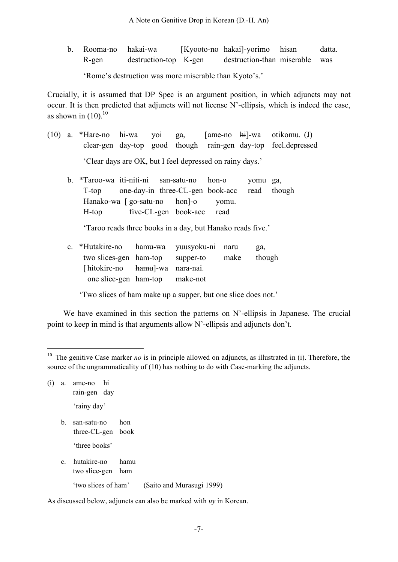b. Rooma-no hakai-wa [Kyooto-no hakai]-yorimo hisan datta. R-gen destruction-top K-gen destruction-than miserable was

'Rome's destruction was more miserable than Kyoto's.'

Crucially, it is assumed that DP Spec is an argument position, in which adjuncts may not occur. It is then predicted that adjuncts will not license N'-ellipsis, which is indeed the case, as shown in  $(10).^{10}$ 

- (10) a. \*Hare-no hi-wa yoi ga, [ame-no hi]-wa otikomu. (J) clear-gen day-top good though rain-gen day-top feel.depressed 'Clear days are OK, but I feel depressed on rainy days.'
	- b. \*Taroo-wa iti-niti-ni san-satu-no hon-o yomu ga, T-top one-day-in three-CL-gen book-acc read though Hanako-wa [ go-satu-no hon]-o yomu. H-top five-CL-gen book-acc read

'Taroo reads three books in a day, but Hanako reads five.'

c. \*Hutakire-no hamu-wa yuusyoku-ni naru ga, two slices-gen ham-top supper-to make though [hitokire-no hamu]-wa nara-nai. one slice-gen ham-top make-not

'Two slices of ham make up a supper, but one slice does not.'

We have examined in this section the patterns on N'-ellipsis in Japanese. The crucial point to keep in mind is that arguments allow N'-ellipsis and adjuncts don't.

- (i) a. ame-no hi rain-gen day 'rainy day'
	- b. san-satu-no hon three-CL-gen book

'three books'

- c. hutakire-no hamu two slice-gen ham
	- 'two slices of ham' (Saito and Murasugi 1999)

As discussed below, adjuncts can also be marked with *uy* in Korean.

<sup>&</sup>lt;sup>10</sup> The genitive Case marker *no* is in principle allowed on adjuncts, as illustrated in (i). Therefore, the source of the ungrammaticality of (10) has nothing to do with Case-marking the adjuncts.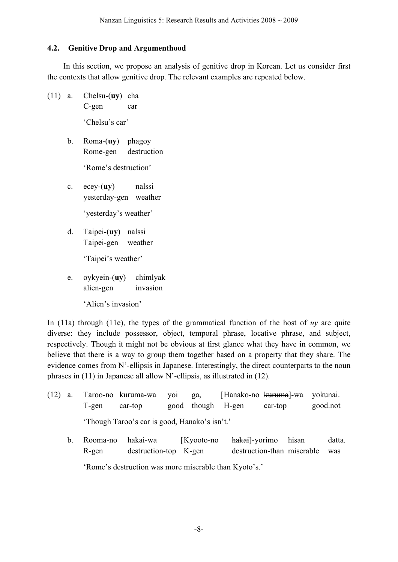## **4.2. Genitive Drop and Argumenthood**

In this section, we propose an analysis of genitive drop in Korean. Let us consider first the contexts that allow genitive drop. The relevant examples are repeated below.

(11) a. Chelsu-(**uy**) cha C-gen car

'Chelsu's car'

b. Roma-(**uy**) phagoy Rome-gen destruction

'Rome's destruction'

- c. ecey-(**uy**) nalssi yesterday-gen weather 'yesterday's weather'
- d. Taipei-(**uy**) nalssi Taipei-gen weather

'Taipei's weather'

e. oykyein-(**uy**) chimlyak alien-gen invasion

'Alien's invasion'

In (11a) through (11e), the types of the grammatical function of the host of *uy* are quite diverse: they include possessor, object, temporal phrase, locative phrase, and subject, respectively. Though it might not be obvious at first glance what they have in common, we believe that there is a way to group them together based on a property that they share. The evidence comes from N'-ellipsis in Japanese. Interestingly, the direct counterparts to the noun phrases in (11) in Japanese all allow N'-ellipsis, as illustrated in (12).

- (12) a. Taroo-no kuruma-wa yoi ga, [Hanako-no kuruma]-wa yokunai. T-gen car-top good though H-gen car-top good.not 'Though Taroo's car is good, Hanako's isn't.'
	- b. Rooma-no hakai-wa [Kyooto-no hakai]-yorimo hisan datta. R-gen destruction-top K-gen destruction-than miserable was 'Rome's destruction was more miserable than Kyoto's.'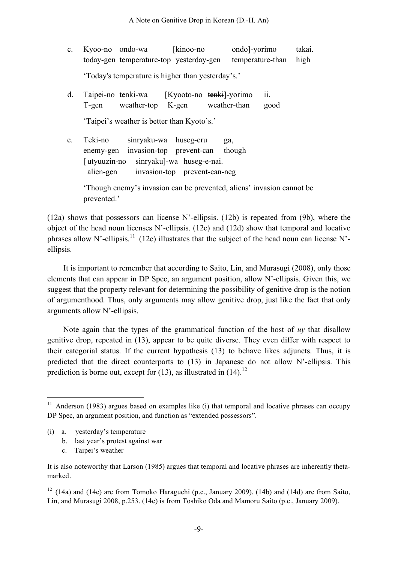- c. Kyoo-no ondo-wa [kinoo-no ondo-vorimo takai. today-gen temperature-top yesterday-gen temperature-than high 'Today's temperature is higher than yesterday's.'
- d. Taipei-no tenki-wa [Kyooto-no tenki]-yorimo ii. T-gen weather-top K-gen weather-than good 'Taipei's weather is better than Kyoto's.'
- e. Teki-no sinryaku-wa huseg-eru ga, enemy-gen invasion-top prevent-can though [utyuuzin-no sinryaku]-wa huseg-e-nai. alien-gen invasion-top prevent-can-neg

'Though enemy's invasion can be prevented, aliens' invasion cannot be prevented.'

(12a) shows that possessors can license N'-ellipsis. (12b) is repeated from (9b), where the object of the head noun licenses N'-ellipsis. (12c) and (12d) show that temporal and locative phrases allow N'-ellipsis.<sup>11</sup> (12e) illustrates that the subject of the head noun can license N'ellipsis.

It is important to remember that according to Saito, Lin, and Murasugi (2008), only those elements that can appear in DP Spec, an argument position, allow N'-ellipsis. Given this, we suggest that the property relevant for determining the possibility of genitive drop is the notion of argumenthood. Thus, only arguments may allow genitive drop, just like the fact that only arguments allow N'-ellipsis.

Note again that the types of the grammatical function of the host of *uy* that disallow genitive drop, repeated in (13), appear to be quite diverse. They even differ with respect to their categorial status. If the current hypothesis (13) to behave likes adjuncts. Thus, it is predicted that the direct counterparts to (13) in Japanese do not allow N'-ellipsis. This prediction is borne out, except for  $(13)$ , as illustrated in  $(14)$ .<sup>12</sup>

- (i) a. yesterday's temperature
	- b. last year's protest against war
	- c. Taipei's weather

<sup>12</sup> (14a) and (14c) are from Tomoko Haraguchi (p.c., January 2009). (14b) and (14d) are from Saito, Lin, and Murasugi 2008, p.253. (14e) is from Toshiko Oda and Mamoru Saito (p.c., January 2009).

 $11$  Anderson (1983) argues based on examples like (i) that temporal and locative phrases can occupy DP Spec, an argument position, and function as "extended possessors".

It is also noteworthy that Larson (1985) argues that temporal and locative phrases are inherently thetamarked.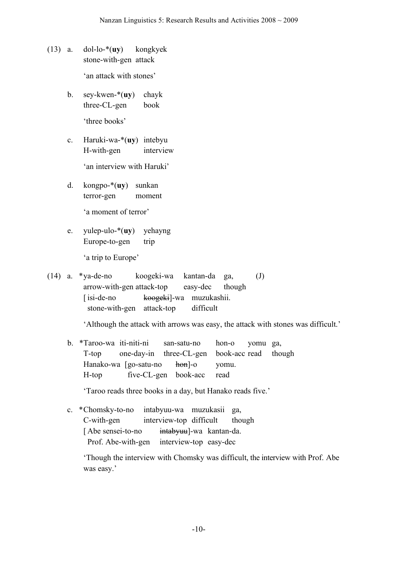(13) a. dol-lo-\*(**uy**) kongkyek stone-with-gen attack

'an attack with stones'

- b. sey-kwen-\*(**uy**) chayk three-CL-gen book 'three books'
- c. Haruki-wa-\*(**uy**) intebyu H-with-gen interview

'an interview with Haruki'

d. kongpo-\*(**uy**) sunkan terror-gen moment

'a moment of terror'

e. yulep-ulo-\*(**uy**) yehayng Europe-to-gen trip

'a trip to Europe'

(14) a. \*ya-de-no koogeki-wa kantan-da ga, (J) arrow-with-gen attack-top easy-dec though [isi-de-no koogeki]-wa muzukashii. stone-with-gen attack-top difficult

'Although the attack with arrows was easy, the attack with stones was difficult.'

b. \*Taroo-wa iti-niti-ni san-satu-no hon-o yomu ga, T-top one-day-in three-CL-gen book-acc read though Hanako-wa [go-satu-no hon]-o yomu. H-top five-CL-gen book-acc read

'Taroo reads three books in a day, but Hanako reads five.'

c. \*Chomsky-to-no intabyuu-wa muzukasii ga, C-with-gen interview-top difficult though [Abe sensei-to-no intabyuu]-wa kantan-da. Prof. Abe-with-gen interview-top easy-dec

'Though the interview with Chomsky was difficult, the interview with Prof. Abe was easy.'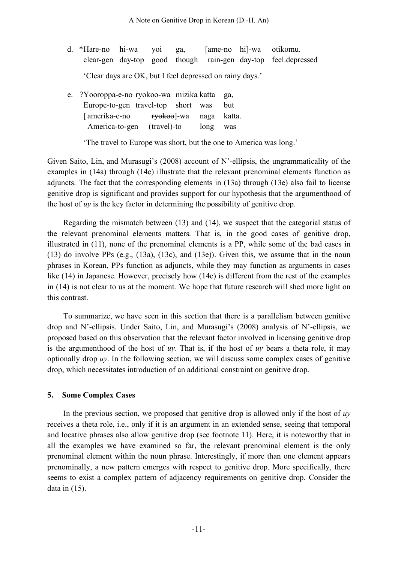- d. \*Hare-no hi-wa yoi ga, [ame-no hi]-wa otikomu. clear-gen day-top good though rain-gen day-top feel.depressed 'Clear days are OK, but I feel depressed on rainy days.'
- e. ?Yooroppa-e-no ryokoo-wa mizika katta ga, Europe-to-gen travel-top short was but [amerika-e-no ryokoo]-wa naga katta. America-to-gen (travel)-to long was

'The travel to Europe was short, but the one to America was long.'

Given Saito, Lin, and Murasugi's (2008) account of N'-ellipsis, the ungrammaticality of the examples in (14a) through (14e) illustrate that the relevant prenominal elements function as adjuncts. The fact that the corresponding elements in (13a) through (13e) also fail to license genitive drop is significant and provides support for our hypothesis that the argumenthood of the host of *uy* is the key factor in determining the possibility of genitive drop.

Regarding the mismatch between (13) and (14), we suspect that the categorial status of the relevant prenominal elements matters. That is, in the good cases of genitive drop, illustrated in (11), none of the prenominal elements is a PP, while some of the bad cases in (13) do involve PPs (e.g., (13a), (13c), and (13e)). Given this, we assume that in the noun phrases in Korean, PPs function as adjuncts, while they may function as arguments in cases like (14) in Japanese. However, precisely how (14e) is different from the rest of the examples in (14) is not clear to us at the moment. We hope that future research will shed more light on this contrast.

To summarize, we have seen in this section that there is a parallelism between genitive drop and N'-ellipsis. Under Saito, Lin, and Murasugi's (2008) analysis of N'-ellipsis, we proposed based on this observation that the relevant factor involved in licensing genitive drop is the argumenthood of the host of *uy*. That is, if the host of *uy* bears a theta role, it may optionally drop  $uy$ . In the following section, we will discuss some complex cases of genitive drop, which necessitates introduction of an additional constraint on genitive drop.

### **5. Some Complex Cases**

In the previous section, we proposed that genitive drop is allowed only if the host of *uy* receives a theta role, i.e., only if it is an argument in an extended sense, seeing that temporal and locative phrases also allow genitive drop (see footnote 11). Here, it is noteworthy that in all the examples we have examined so far, the relevant prenominal element is the only prenominal element within the noun phrase. Interestingly, if more than one element appears prenominally, a new pattern emerges with respect to genitive drop. More specifically, there seems to exist a complex pattern of adjacency requirements on genitive drop. Consider the data in (15).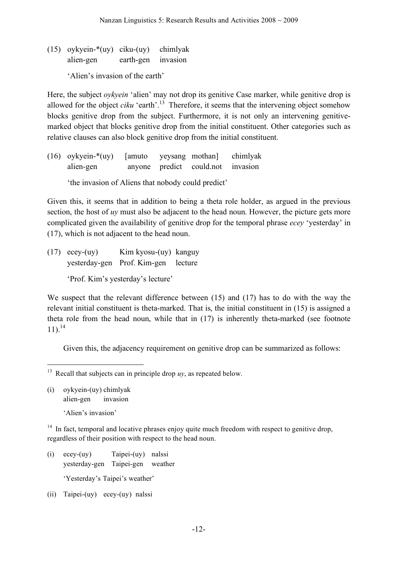(15) oykyein-\*(uy) ciku-(uy) chimlyak alien-gen earth-gen invasion

'Alien's invasion of the earth'

Here, the subject *oykyein* 'alien' may not drop its genitive Case marker, while genitive drop is allowed for the object *ciku* 'earth'.<sup>13</sup> Therefore, it seems that the intervening object somehow blocks genitive drop from the subject. Furthermore, it is not only an intervening genitivemarked object that blocks genitive drop from the initial constituent. Other categories such as relative clauses can also block genitive drop from the initial constituent.

(16) oykyein-\*(uy) [amuto yeysang mothan] chimlyak alien-gen anyone predict could.not invasion

'the invasion of Aliens that nobody could predict'

Given this, it seems that in addition to being a theta role holder, as argued in the previous section, the host of *uy* must also be adjacent to the head noun. However, the picture gets more complicated given the availability of genitive drop for the temporal phrase *ecey* 'yesterday' in (17), which is not adjacent to the head noun.

(17) ecey-(uy) Kim kyosu-(uy) kanguy yesterday-gen Prof. Kim-gen lecture

'Prof. Kim's yesterday's lecture'

We suspect that the relevant difference between (15) and (17) has to do with the way the relevant initial constituent is theta-marked. That is, the initial constituent in (15) is assigned a theta role from the head noun, while that in (17) is inherently theta-marked (see footnote 11). 14

Given this, the adjacency requirement on genitive drop can be summarized as follows:

(i) oykyein-(uy) chimlyak alien-gen invasion

'Alien's invasion'

 $14$  In fact, temporal and locative phrases enjoy quite much freedom with respect to genitive drop, regardless of their position with respect to the head noun.

- (i) ecey-(uy) Taipei-(uy) nalssi yesterday-gen Taipei-gen weather 'Yesterday's Taipei's weather'
- (ii) Taipei-(uy) ecey-(uy) nalssi

<sup>&</sup>lt;sup>13</sup> Recall that subjects can in principle drop  $uv$ , as repeated below.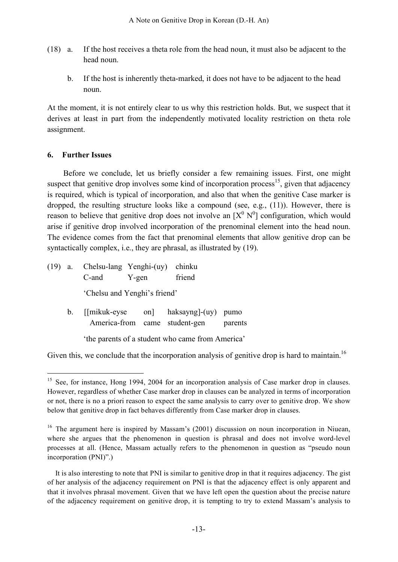- (18) a. If the host receives a theta role from the head noun, it must also be adjacent to the head noun.
	- b. If the host is inherently theta-marked, it does not have to be adjacent to the head noun.

At the moment, it is not entirely clear to us why this restriction holds. But, we suspect that it derives at least in part from the independently motivated locality restriction on theta role assignment.

# **6. Further Issues**

Before we conclude, let us briefly consider a few remaining issues. First, one might suspect that genitive drop involves some kind of incorporation process<sup>15</sup>, given that adjacency is required, which is typical of incorporation, and also that when the genitive Case marker is dropped, the resulting structure looks like a compound (see, e.g., (11)). However, there is reason to believe that genitive drop does not involve an  $[X^0 N^0]$  configuration, which would arise if genitive drop involved incorporation of the prenominal element into the head noun. The evidence comes from the fact that prenominal elements that allow genitive drop can be syntactically complex, i.e., they are phrasal, as illustrated by (19).

|  |         | C-and                                           | $(19)$ a. Chelsu-lang Yenghi- $(uy)$ chinku<br>Y-gen |  |  | friend                               |         |  |  |
|--|---------|-------------------------------------------------|------------------------------------------------------|--|--|--------------------------------------|---------|--|--|
|  |         | 'Chelsu and Yenghi's friend'                    |                                                      |  |  |                                      |         |  |  |
|  | $b_{-}$ | America-from came student-gen                   |                                                      |  |  | [[mikuk-eyse on] haksayng]-(uy) pumo | parents |  |  |
|  |         | the parents of a student who came from America' |                                                      |  |  |                                      |         |  |  |

Given this, we conclude that the incorporation analysis of genitive drop is hard to maintain.<sup>16</sup>

<sup>&</sup>lt;sup>15</sup> See, for instance, Hong 1994, 2004 for an incorporation analysis of Case marker drop in clauses. However, regardless of whether Case marker drop in clauses can be analyzed in terms of incorporation or not, there is no a priori reason to expect the same analysis to carry over to genitive drop. We show below that genitive drop in fact behaves differently from Case marker drop in clauses.

<sup>&</sup>lt;sup>16</sup> The argument here is inspired by Massam's (2001) discussion on noun incorporation in Niuean, where she argues that the phenomenon in question is phrasal and does not involve word-level processes at all. (Hence, Massam actually refers to the phenomenon in question as "pseudo noun incorporation (PNI)".)

It is also interesting to note that PNI is similar to genitive drop in that it requires adjacency. The gist of her analysis of the adjacency requirement on PNI is that the adjacency effect is only apparent and that it involves phrasal movement. Given that we have left open the question about the precise nature of the adjacency requirement on genitive drop, it is tempting to try to extend Massam's analysis to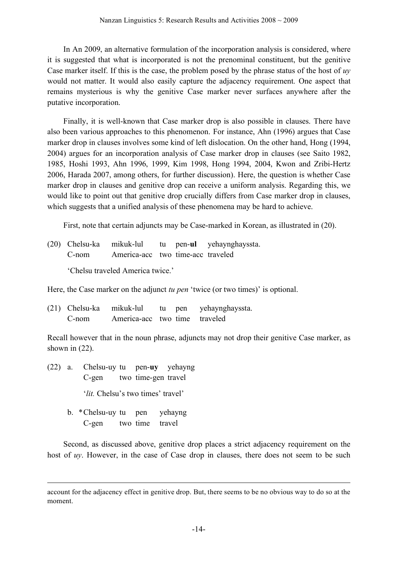In An 2009, an alternative formulation of the incorporation analysis is considered, where it is suggested that what is incorporated is not the prenominal constituent, but the genitive Case marker itself. If this is the case, the problem posed by the phrase status of the host of *uy* would not matter. It would also easily capture the adjacency requirement. One aspect that remains mysterious is why the genitive Case marker never surfaces anywhere after the putative incorporation.

Finally, it is well-known that Case marker drop is also possible in clauses. There have also been various approaches to this phenomenon. For instance, Ahn (1996) argues that Case marker drop in clauses involves some kind of left dislocation. On the other hand, Hong (1994, 2004) argues for an incorporation analysis of Case marker drop in clauses (see Saito 1982, 1985, Hoshi 1993, Ahn 1996, 1999, Kim 1998, Hong 1994, 2004, Kwon and Zribi-Hertz 2006, Harada 2007, among others, for further discussion). Here, the question is whether Case marker drop in clauses and genitive drop can receive a uniform analysis. Regarding this, we would like to point out that genitive drop crucially differs from Case marker drop in clauses, which suggests that a unified analysis of these phenomena may be hard to achieve.

First, note that certain adjuncts may be Case-marked in Korean, as illustrated in (20).

(20) Chelsu-ka mikuk-lul tu pen-**ul** yehaynghayssta. C-nom America-acc two time-acc traveled

'Chelsu traveled America twice.'

Here, the Case marker on the adjunct *tu pen* 'twice (or two times)' is optional.

| (21) Chelsu-ka mikuk-lul |                               |  | tu pen yehaynghayssta. |
|--------------------------|-------------------------------|--|------------------------|
| C-nom                    | America-acc two time traveled |  |                        |

Recall however that in the noun phrase, adjuncts may not drop their genitive Case marker, as shown in (22).

- (22) a. Chelsu-uy tu pen-**uy** yehayng C-gen two time-gen travel '*lit.* Chelsu's two times' travel'
	- b. \*Chelsu-uy tu pen yehayng C-gen two time travel

1

Second, as discussed above, genitive drop places a strict adjacency requirement on the host of *uy*. However, in the case of Case drop in clauses, there does not seem to be such

account for the adjacency effect in genitive drop. But, there seems to be no obvious way to do so at the moment.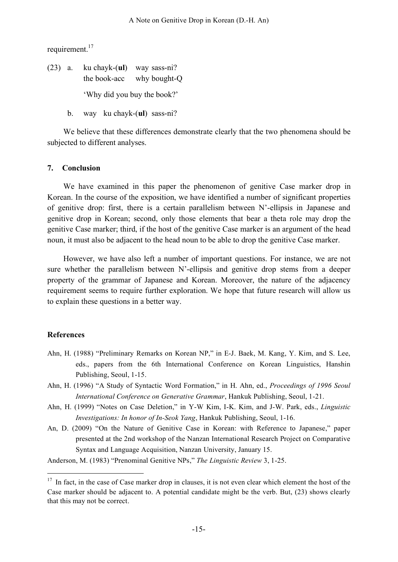requirement.<sup>17</sup>

(23) a. ku chayk-(**ul**) way sass-ni? the book-acc why bought-Q 'Why did you buy the book?'

b. way ku chayk-(**ul**) sass-ni?

We believe that these differences demonstrate clearly that the two phenomena should be subjected to different analyses.

### **7. Conclusion**

We have examined in this paper the phenomenon of genitive Case marker drop in Korean. In the course of the exposition, we have identified a number of significant properties of genitive drop: first, there is a certain parallelism between N'-ellipsis in Japanese and genitive drop in Korean; second, only those elements that bear a theta role may drop the genitive Case marker; third, if the host of the genitive Case marker is an argument of the head noun, it must also be adjacent to the head noun to be able to drop the genitive Case marker.

However, we have also left a number of important questions. For instance, we are not sure whether the parallelism between N'-ellipsis and genitive drop stems from a deeper property of the grammar of Japanese and Korean. Moreover, the nature of the adjacency requirement seems to require further exploration. We hope that future research will allow us to explain these questions in a better way.

### **References**

- Ahn, H. (1988) "Preliminary Remarks on Korean NP," in E-J. Baek, M. Kang, Y. Kim, and S. Lee, eds., papers from the 6th International Conference on Korean Linguistics, Hanshin Publishing, Seoul, 1-15.
- Ahn, H. (1996) "A Study of Syntactic Word Formation," in H. Ahn, ed., *Proceedings of 1996 Seoul International Conference on Generative Grammar*, Hankuk Publishing, Seoul, 1-21.
- Ahn, H. (1999) "Notes on Case Deletion," in Y-W Kim, I-K. Kim, and J-W. Park, eds., *Linguistic Investigations: In honor of In-Seok Yang*, Hankuk Publishing, Seoul, 1-16.
- An, D. (2009) "On the Nature of Genitive Case in Korean: with Reference to Japanese," paper presented at the 2nd workshop of the Nanzan International Research Project on Comparative Syntax and Language Acquisition, Nanzan University, January 15.

Anderson, M. (1983) "Prenominal Genitive NPs," *The Linguistic Review* 3, 1-25.

<sup>&</sup>lt;sup>17</sup> In fact, in the case of Case marker drop in clauses, it is not even clear which element the host of the Case marker should be adjacent to. A potential candidate might be the verb. But, (23) shows clearly that this may not be correct.